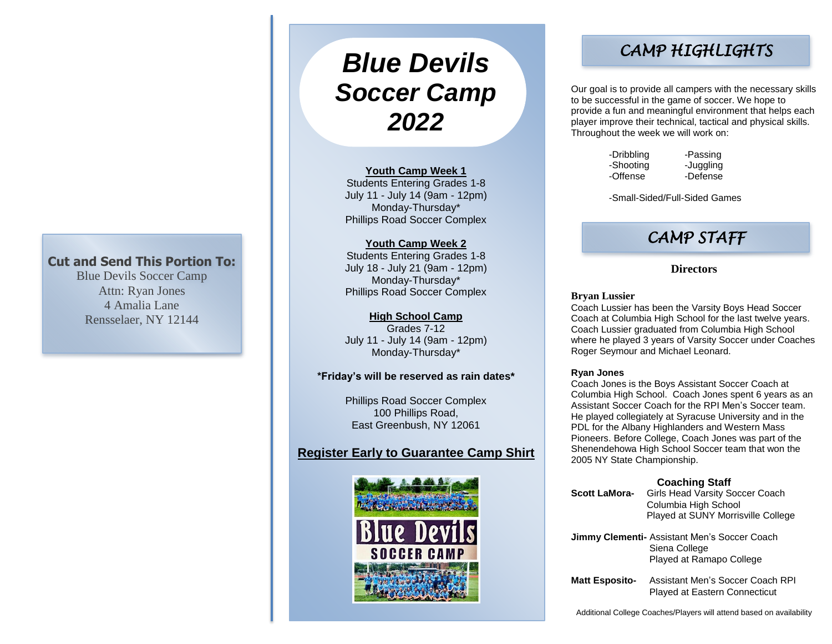## **Cut and Send This Portion To:**

Blue Devils Soccer Camp Attn: Ryan Jones 4 Amalia Lane Rensselaer, NY 12144

# *Blue Devils Soccer Camp 2022*

#### **Youth Camp Week 1**

Students Entering Grades 1-8 July 11 - July 14 (9am - 12pm) Monday-Thursday\* Phillips Road Soccer Complex

## **Youth Camp Week 2**

Students Entering Grades 1-8 July 18 - July 21 (9am - 12pm) Monday-Thursday\* Phillips Road Soccer Complex

## **High School Camp**

Grades 7-12 July 11 - July 14 (9am - 12pm) Monday-Thursday\*

### **\*Friday's will be reserved as rain dates\***

Phillips Road Soccer Complex 100 Phillips Road, East Greenbush, NY 12061

## **Register Early to Guarantee Camp Shirt**



## *CAMP HIGHLIGHTS*

Our goal is to provide all campers with the necessary skills to be successful in the game of soccer. We hope to provide a fun and meaningful environment that helps each player improve their technical, tactical and physical skills. Throughout the week we will work on:

| -Dribbling |  |
|------------|--|
| -Shooting  |  |
| -Offense   |  |

-Passing -Juggling -Offense -Defense

-Small-Sided/Full-Sided Games

## *CAMP STAFF*

## **Directors**

#### **Bryan Lussier**

Coach Lussier has been the Varsity Boys Head Soccer Coach at Columbia High School for the last twelve years. Coach Lussier graduated from Columbia High School where he played 3 years of Varsity Soccer under Coaches Roger Seymour and Michael Leonard.

#### **Ryan Jones**

Coach Jones is the Boys Assistant Soccer Coach at Columbia High School. Coach Jones spent 6 years as an Assistant Soccer Coach for the RPI Men's Soccer team. He played collegiately at Syracuse University and in the PDL for the Albany Highlanders and Western Mass Pioneers. Before College, Coach Jones was part of the Shenendehowa High School Soccer team that won the 2005 NY State Championship.

## **Coaching Staff**

**Scott LaMora-** Girls Head Varsity Soccer Coach Columbia High School Played at SUNY Morrisville College

**Jimmy Clementi-** Assistant Men's Soccer Coach Siena College Played at Ramapo College

**Matt Esposito-** Assistant Men's Soccer Coach RPI Played at Eastern Connecticut

Additional College Coaches/Players will attend based on availability